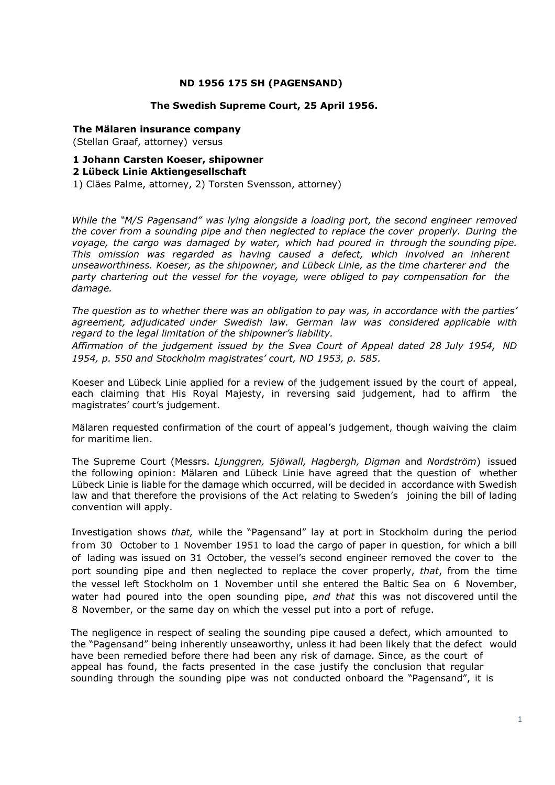# **ND 1956 175 SH (PAGENSAND)**

### **The Swedish Supreme Court, 25 April 1956.**

#### **The Mälaren insurance company**

(Stellan Graaf, attorney) versus

# **1 Johann Carsten Koeser, shipowner**

### **2 Lübeck Linie Aktiengesellschaft**

1) Cläes Palme, attorney, 2) Torsten Svensson, attorney)

*While the "M/S Pagensand" was lying alongside a loading port, the second engineer removed the cover from a sounding pipe and then neglected to replace the cover properly. During the voyage, the cargo was damaged by water, which had poured in through the sounding pipe. This omission was regarded as having caused a defect, which involved an inherent unseaworthiness. Koeser, as the shipowner, and Lübeck Linie, as the time charterer and the party chartering out the vessel for the voyage, were obliged to pay compensation for the damage.* 

*The question as to whether there was an obligation to pay was, in accordance with the parties' agreement, adjudicated under Swedish law. German law was considered applicable with regard to the legal limitation of the shipowner's liability.*

*Affirmation of the judgement issued by the Svea Court of Appeal dated 28 July 1954, ND 1954, p. 550 and Stockholm magistrates' court, ND 1953, p. 585.*

Koeser and Lübeck Linie applied for a review of the judgement issued by the court of appeal, each claiming that His Royal Majesty, in reversing said judgement, had to affirm the magistrates' court's judgement.

Mälaren requested confirmation of the court of appeal's judgement, though waiving the claim for maritime lien.

The Supreme Court (Messrs. *Ljunggren, Sjöwall, Hagbergh, Digman* and *Nordström*) issued the following opinion: Mälaren and Lübeck Linie have agreed that the question of whether Lübeck Linie is liable for the damage which occurred, will be decided in accordance with Swedish law and that therefore the provisions of the Act relating to Sweden's joining the bill of lading convention will apply.

Investigation shows *that,* while the "Pagensand" lay at port in Stockholm during the period from 30 October to 1 November 1951 to load the cargo of paper in question, for which a bill of lading was issued on 31 October, the vessel's second engineer removed the cover to the port sounding pipe and then neglected to replace the cover properly, *that*, from the time the vessel left Stockholm on 1 November until she entered the Baltic Sea on 6 November, water had poured into the open sounding pipe, *and that* this was not discovered until the 8 November, or the same day on which the vessel put into a port of refuge.

The negligence in respect of sealing the sounding pipe caused a defect, which amounted to the "Pagensand" being inherently unseaworthy, unless it had been likely that the defect would have been remedied before there had been any risk of damage. Since, as the court of appeal has found, the facts presented in the case justify the conclusion that regular sounding through the sounding pipe was not conducted onboard the "Pagensand", it is